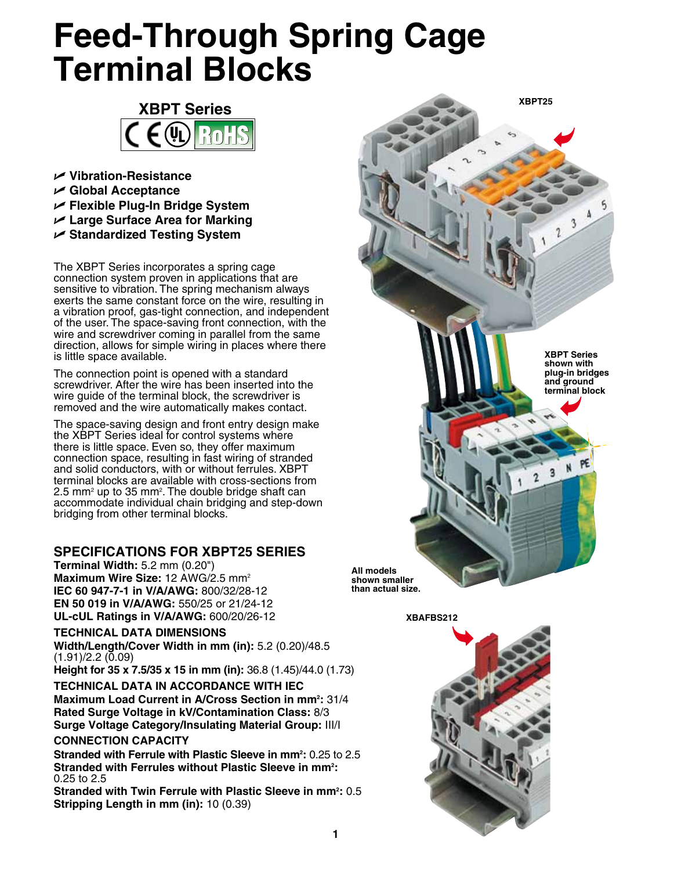# **Feed-Through Spring Cage Terminal Blocks**



- U **Vibration-Resistance**
- U **Global Acceptance**
- U **Flexible Plug-In Bridge System**
- U **Large Surface Area for Marking**
- U **Standardized Testing System**

The XBPT Series incorporates a spring cage connection system proven in applications that are sensitive to vibration. The spring mechanism always exerts the same constant force on the wire, resulting in a vibration proof, gas-tight connection, and independent of the user. The space-saving front connection, with the wire and screwdriver coming in parallel from the same direction, allows for simple wiring in places where there is little space available.

The connection point is opened with a standard screwdriver. After the wire has been inserted into the wire guide of the terminal block, the screwdriver is removed and the wire automatically makes contact.

The space-saving design and front entry design make the XBPT Series ideal for control systems where there is little space. Even so, they offer maximum connection space, resulting in fast wiring of stranded and solid conductors, with or without ferrules. XBPT terminal blocks are available with cross-sections from 2.5 mm<sup>2</sup> up to 35 mm<sup>2</sup>. The double bridge shaft can accommodate individual chain bridging and step-down bridging from other terminal blocks.

## **SPECIFICATIONS for XBPT25 Series**

**Terminal Width:** 5.2 mm (0.20") **Maximum Wire Size:** 12 AWG/2.5 mm2 **IEC 60 947-7-1 in V/A/AWG:** 800/32/28-12 **EN 50 019 in V/A/AWG:** 550/25 or 21/24-12 **UL-cUL Ratings in V/A/AWG:** 600/20/26-12

**TECHNICAL DATA DIMENSIONS Width/Length/Cover Width in mm (in):** 5.2 (0.20)/48.5

 $(1.91)/2.2$   $(0.09)$ 

**Height for 35 x 7.5/35 x 15 in mm (in):** 36.8 (1.45)/44.0 (1.73)

**TECHNICAL DATA IN ACCORDANCE WITH IEC Maximum Load Current in A/Cross Section in mm2 :** 31/4 **Rated Surge Voltage in kV/Contamination Class:** 8/3

**Surge Voltage Category/Insulating Material Group:** III/I

## **CONNECTION CAPACITY**

**Stranded with Ferrule with Plastic Sleeve in mm2 :** 0.25 to 2.5 Stranded with Ferrules without Plastic Sleeve in mm<sup>2</sup>: 0.25 to 2.5

Stranded with Twin Ferrule with Plastic Sleeve in mm<sup>2</sup>: 0.5 **Stripping Length in mm (in):** 10 (0.39)



**XBPT25**

**than actual size.**

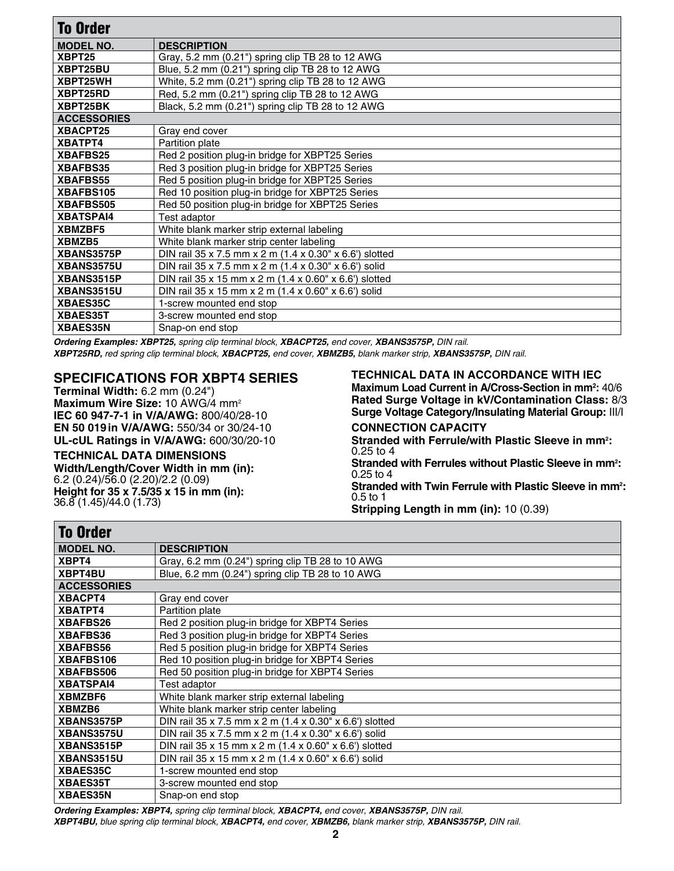| <b>To Order</b>    |                                                         |
|--------------------|---------------------------------------------------------|
| <b>MODEL NO.</b>   | <b>DESCRIPTION</b>                                      |
| XBPT25             | Gray, 5.2 mm (0.21") spring clip TB 28 to 12 AWG        |
| XBPT25BU           | Blue, 5.2 mm (0.21") spring clip TB 28 to 12 AWG        |
| XBPT25WH           | White, 5.2 mm (0.21") spring clip TB 28 to 12 AWG       |
| XBPT25RD           | Red, 5.2 mm (0.21") spring clip TB 28 to 12 AWG         |
| XBPT25BK           | Black, 5.2 mm (0.21") spring clip TB 28 to 12 AWG       |
| <b>ACCESSORIES</b> |                                                         |
| XBACPT25           | Gray end cover                                          |
| XBATPT4            | Partition plate                                         |
| <b>XBAFBS25</b>    | Red 2 position plug-in bridge for XBPT25 Series         |
| <b>XBAFBS35</b>    | Red 3 position plug-in bridge for XBPT25 Series         |
| <b>XBAFBS55</b>    | Red 5 position plug-in bridge for XBPT25 Series         |
| XBAFBS105          | Red 10 position plug-in bridge for XBPT25 Series        |
| <b>XBAFBS505</b>   | Red 50 position plug-in bridge for XBPT25 Series        |
| <b>XBATSPAI4</b>   | Test adaptor                                            |
| XBMZBF5            | White blank marker strip external labeling              |
| XBMZB5             | White blank marker strip center labeling                |
| XBANS3575P         | DIN rail 35 x 7.5 mm x 2 m (1.4 x 0.30" x 6.6") slotted |
| XBANS3575U         | DIN rail 35 x 7.5 mm x 2 m (1.4 x 0.30" x 6.6') solid   |
| XBANS3515P         | DIN rail 35 x 15 mm x 2 m (1.4 x 0.60" x 6.6") slotted  |
| XBANS3515U         | DIN rail 35 x 15 mm x 2 m (1.4 x 0.60" x 6.6") solid    |
| <b>XBAES35C</b>    | 1-screw mounted end stop                                |
| <b>XBAES35T</b>    | 3-screw mounted end stop                                |
| <b>XBAES35N</b>    | Snap-on end stop                                        |

*Ordering Examples: XBPT25, spring clip terminal block, XBACPT25, end cover, XBANS3575P, DIN rail.*

*XBPT25RD, red spring clip terminal block, XBACPT25, end cover, XBMZB5, blank marker strip, XBANS3575P, DIN rail.*

## **SPECIFICATIONS for XBPT4 Series**

**Terminal Width:** 6.2 mm (0.24") **Maximum Wire Size:** 10 AWG/4 mm2 **IEC 60 947-7-1 in V/A/AWG:** 800/40/28-10 **EN 50 019in V/A/AWG:** 550/34 or 30/24-10 **UL-cUL Ratings in V/A/AWG:** 600/30/20-10

## **TECHNICAL DATA DIMENSIONS**

**Width/Length/Cover Width in mm (in):** 6.2 (0.24)/56.0 (2.20)/2.2 (0.09) **Height for 35 x 7.5/35 x 15 in mm (in):** 36.8 (1.45)/44.0 (1.73)

# **TECHNICAL DATA IN ACCORDANCE WITH IEC**

**Maximum Load Current in A/Cross-Section in mm2 :** 40/6 **Rated Surge Voltage in kV/Contamination Class:** 8/3 **Surge Voltage Category/Insulating Material Group:** III/I **CONNECTION CAPACITY**

Stranded with Ferrule/with Plastic Sleeve in mm<sup>2</sup>: 0.25 to 4

Stranded with Ferrules without Plastic Sleeve in mm<sup>2</sup>: 0.25 to 4

Stranded with Twin Ferrule with Plastic Sleeve in mm<sup>2</sup>: 0.5 to 1

**Stripping Length in mm (in):** 10 (0.39)

| <b>To Order</b>    |                                                         |
|--------------------|---------------------------------------------------------|
| <b>MODEL NO.</b>   | <b>DESCRIPTION</b>                                      |
| XBPT4              | Gray, 6.2 mm $(0.24)$ spring clip TB 28 to 10 AWG       |
| <b>XBPT4BU</b>     | Blue, 6.2 mm (0.24") spring clip TB 28 to 10 AWG        |
| <b>ACCESSORIES</b> |                                                         |
| XBACPT4            | Gray end cover                                          |
| XBATPT4            | Partition plate                                         |
| <b>XBAFBS26</b>    | Red 2 position plug-in bridge for XBPT4 Series          |
| <b>XBAFBS36</b>    | Red 3 position plug-in bridge for XBPT4 Series          |
| <b>XBAFBS56</b>    | Red 5 position plug-in bridge for XBPT4 Series          |
| <b>XBAFBS106</b>   | Red 10 position plug-in bridge for XBPT4 Series         |
| <b>XBAFBS506</b>   | Red 50 position plug-in bridge for XBPT4 Series         |
| <b>XBATSPAI4</b>   | Test adaptor                                            |
| XBMZBF6            | White blank marker strip external labeling              |
| XBMZB6             | White blank marker strip center labeling                |
| <b>XBANS3575P</b>  | DIN rail 35 x 7.5 mm x 2 m (1.4 x 0.30" x 6.6') slotted |
| <b>XBANS3575U</b>  | DIN rail 35 x 7.5 mm x 2 m (1.4 x 0.30" x 6.6') solid   |
| XBANS3515P         | DIN rail 35 x 15 mm x 2 m (1.4 x 0.60" x 6.6") slotted  |
| XBANS3515U         | DIN rail 35 x 15 mm x 2 m (1.4 x 0.60" x 6.6") solid    |
| <b>XBAES35C</b>    | I-screw mounted end stop                                |
| <b>XBAES35T</b>    | 3-screw mounted end stop                                |
| <b>XBAES35N</b>    | Snap-on end stop                                        |

*Ordering Examples: XBPT4, spring clip terminal block, XBACPT4, end cover, XBANS3575P, DIN rail. XBPT4BU, blue spring clip terminal block, XBACPT4, end cover, XBMZB6, blank marker strip, XBANS3575P, DIN rail.*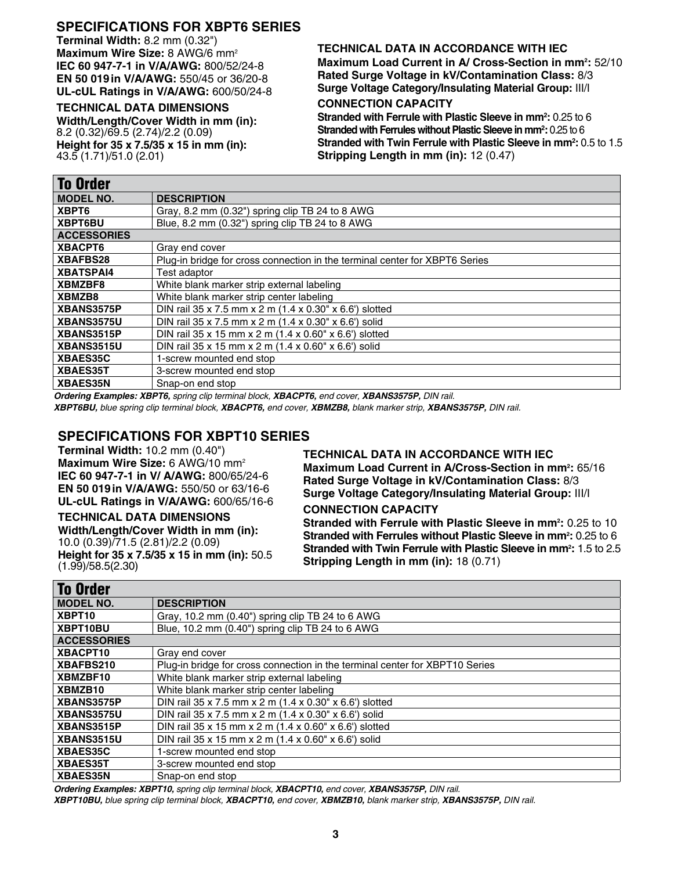## **SPECIFICATIONS for XBPT6 Series**

**Terminal Width:** 8.2 mm (0.32") **Maximum Wire Size:** 8 AWG/6 mm2 **IEC 60 947-7-1 in V/A/AWG:** 800/52/24-8 **EN 50 019in V/A/AWG:** 550/45 or 36/20-8 **UL-cUL Ratings in V/A/AWG:** 600/50/24-8

#### **TECHNICAL DATA DIMENSIONS**

**Width/Length/Cover Width in mm (in):** 8.2 (0.32)/69.5 (2.74)/2.2 (0.09) **Height for 35 x 7.5/35 x 15 in mm (in):**  43.5 (1.71)/51.0 (2.01)

#### **TECHNICAL DATA IN ACCORDANCE WITH IEC**

**Maximum Load Current in A/ Cross-Section in mm2 :** 52/10 **Rated Surge Voltage in kV/Contamination Class:** 8/3 **Surge Voltage Category/Insulating Material Group:** III/I

## **CONNECTION CAPACITY**

**Stranded with Ferrule with Plastic Sleeve in mm2 :** 0.25 to 6 **Stranded with Ferrules without Plastic Sleeve in mm<sup>2</sup>: 0.25 to 6 Stranded with Twin Ferrule with Plastic Sleeve in mm2 :** 0.5 to 1.5 **Stripping Length in mm (in):** 12 (0.47)

| To Order           |                                                                             |  |
|--------------------|-----------------------------------------------------------------------------|--|
| <b>MODEL NO.</b>   | <b>DESCRIPTION</b>                                                          |  |
| XBPT6              | Gray, 8.2 mm (0.32") spring clip TB 24 to 8 AWG                             |  |
| XBPT6BU            | Blue, 8.2 mm (0.32") spring clip TB 24 to 8 AWG                             |  |
| <b>ACCESSORIES</b> |                                                                             |  |
| XBACPT6            | Gray end cover                                                              |  |
| <b>XBAFBS28</b>    | Plug-in bridge for cross connection in the terminal center for XBPT6 Series |  |
| <b>XBATSPAI4</b>   | Test adaptor                                                                |  |
| XBMZBF8            | White blank marker strip external labeling                                  |  |
| XBMZB8             | White blank marker strip center labeling                                    |  |
| XBANS3575P         | DIN rail 35 x 7.5 mm x 2 m (1.4 x 0.30" x 6.6") slotted                     |  |
| <b>XBANS3575U</b>  | DIN rail 35 x 7.5 mm x 2 m (1.4 x 0.30" x 6.6") solid                       |  |
| XBANS3515P         | DIN rail 35 x 15 mm x 2 m (1.4 x 0.60" x 6.6") slotted                      |  |
| XBANS3515U         | DIN rail 35 x 15 mm x 2 m (1.4 x 0.60" x 6.6") solid                        |  |
| <b>XBAES35C</b>    | 1-screw mounted end stop                                                    |  |
| XBAES35T           | 3-screw mounted end stop                                                    |  |
| <b>XBAES35N</b>    | Snap-on end stop                                                            |  |

*Ordering Examples: XBPT6, spring clip terminal block, XBACPT6, end cover, XBANS3575P, DIN rail.*

*XBPT6BU, blue spring clip terminal block, XBACPT6, end cover, XBMZB8, blank marker strip, XBANS3575P, DIN rail.*

## **SPECIFICATIONS for XBPT10 Series**

**Terminal Width:** 10.2 mm (0.40") **Maximum Wire Size:** 6 AWG/10 mm2 **IEC 60 947-7-1 in V/ A/AWG:** 800/65/24-6 **EN 50 019in V/A/AWG:** 550/50 or 63/16-6 **UL-cUL Ratings in V/A/AWG:** 600/65/16-6

## **TECHNICAL DATA DIMENSIONS**

**Width/Length/Cover Width in mm (in):** 10.0 (0.39)/71.5 (2.81)/2.2 (0.09) **Height for 35 x 7.5/35 x 15 in mm (in):** 50.5 (1.99)/58.5(2.30)

#### **TECHNICAL DATA IN ACCORDANCE WITH IEC**

Maximum Load Current in A/Cross-Section in mm<sup>2</sup>: 65/16 **Rated Surge Voltage in kV/Contamination Class:** 8/3 **Surge Voltage Category/Insulating Material Group:** III/I **CONNECTION CAPACITY**

**Stranded with Ferrule with Plastic Sleeve in mm<sup>2</sup>: 0.25 to 10 Stranded with Ferrules without Plastic Sleeve in mm<sup>2</sup>: 0.25 to 6 Stranded with Twin Ferrule with Plastic Sleeve in mm<sup>2</sup>: 1.5 to 2.5 Stripping Length in mm (in):** 18 (0.71)

| <b>To Order</b>    |                                                                              |
|--------------------|------------------------------------------------------------------------------|
| <b>MODEL NO.</b>   | <b>DESCRIPTION</b>                                                           |
| XBPT <sub>10</sub> | Gray, 10.2 mm (0.40") spring clip TB 24 to 6 AWG                             |
| XBPT10BU           | Blue, 10.2 mm (0.40") spring clip TB 24 to 6 AWG                             |
| <b>ACCESSORIES</b> |                                                                              |
| XBACPT10           | Gray end cover                                                               |
| XBAFBS210          | Plug-in bridge for cross connection in the terminal center for XBPT10 Series |
| XBMZBF10           | White blank marker strip external labeling                                   |
| XBMZB10            | White blank marker strip center labeling                                     |
| XBANS3575P         | DIN rail 35 x 7.5 mm x 2 m (1.4 x 0.30" x 6.6") slotted                      |
| XBANS3575U         | DIN rail 35 x 7.5 mm x 2 m (1.4 x 0.30" x 6.6") solid                        |
| XBANS3515P         | DIN rail 35 x 15 mm x 2 m (1.4 x 0.60" x 6.6") slotted                       |
| XBANS3515U         | DIN rail 35 x 15 mm x 2 m (1.4 x 0.60" x 6.6") solid                         |
| <b>XBAES35C</b>    | 1-screw mounted end stop                                                     |
| XBAES35T           | 3-screw mounted end stop                                                     |
| <b>XBAES35N</b>    | Snap-on end stop                                                             |

*Ordering Examples: XBPT10, spring clip terminal block, XBACPT10, end cover, XBANS3575P, DIN rail. XBPT10BU, blue spring clip terminal block, XBACPT10, end cover, XBMZB10, blank marker strip, XBANS3575P, DIN rail.*